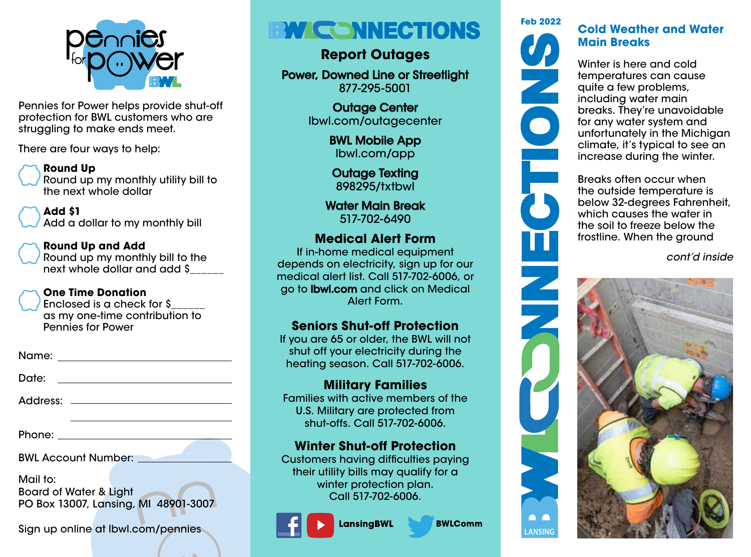

Pennies for Power helps provide shut-off protection for BWL customers who are struggling to make ends meet.

There are four ways to help:

### **Round Up**

Round up my monthly utility bill to the next whole dollar

#### **Add \$1** Add a dollar to my monthly bill

### **Round Up and Add**

Round up my monthly bill to the next whole dollar and add \$\_\_\_\_\_\_

### **One Time Donation**

Enclosed is a check for \$\_\_\_\_\_\_ as my one-time contribution to Pennies for Power

Name:

Date: with the contract of the contract of the contract of the contract of the contract of the contract of the contract of the contract of the contract of the contract of the contract of the contract of the contract of the

Address:

Phone: <u>with the set of the set of the set of the set of the set of the set of the set of the set of the set of the set of the set of the set of the set of the set of the set of the set of the set of the set of the set of </u>

BWL Account Number:

Mail to: Board of Water & Light PO Box 13007, Lansing, MI 48901-3007

Sign up online at lbwl.com/pennies

# *MICONNECTIONS*

# **Report Outages**

Power, Downed Line or Streetlight 877-295-5001

> Outage Center lbwl.com/outagecenter

> > BWL Mobile App lbwl.com/app

Outage Texting 898295/txtbwl

Water Main Break 517-702-6490

## **Medical Alert Form**

If in-home medical equipment depends on electricity, sign up for our medical alert list. Call 517-702-6006, or go to lbwl.com and click on Medical Alert Form.

## **Seniors Shut-off Protection**

If you are 65 or older, the BWL will not shut off your electricity during the heating season. Call 517-702-6006.

# **Military Families**

Families with active members of the U.S. Military are protected from shut-offs. Call 517-702-6006.

# **Winter Shut-off Protection**

Customers having difficulties paying their utility bills may qualify for a winter protection plan. Call 517-702-6006.

**LansingBWL** 



**BWLComm** 



E<br>5

### **Cold Weather and Water Main Breaks**

Winter is here and cold temperatures can cause quite a few problems, including water main breaks. They're unavoidable for any water system and unfortunately in the Michigan climate, it's typical to see an increase during the winter.

Breaks often occur when the outside temperature is below 32-degrees Fahrenheit, which causes the water in the soil to freeze below the frostline. When the ground

*cont'd inside*



**ANSING** 

**A** A